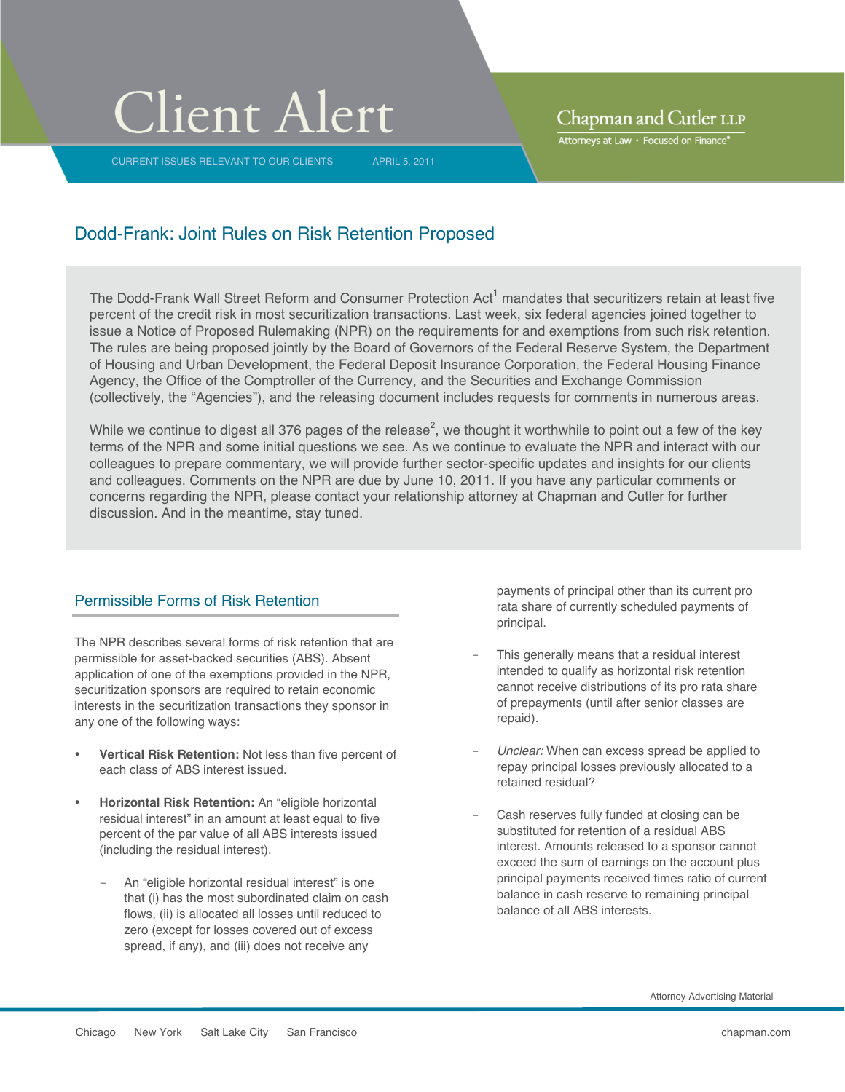# **Client Alert**

CURRENT ISSUES RELEVANT TO OUR CLIENTS APRIL 5, 2011

Chapman and Cutler LLP

Attorneys at Law · Focused on Finance\*

## Dodd-Frank: Joint Rules on Risk Retention Proposed

The Dodd-Frank Wall Street Reform and Consumer Protection Act<sup>1</sup> mandates that securitizers retain at least five percent of the credit risk in most securitization transactions. Last week, six federal agencies joined together to issue a Notice of Proposed Rulemaking (NPR) on the requirements for and exemptions from such risk retention. The rules are being proposed jointly by the Board of Governors of the Federal Reserve System, the Department of Housing and Urban Development, the Federal Deposit Insurance Corporation, the Federal Housing Finance Agency, the Office of the Comptroller of the Currency, and the Securities and Exchange Commission (collectively, the "Agencies"), and the releasing document includes requests for comments in numerous areas.

While we continue to digest all 376 pages of the release<sup>2</sup>, we thought it worthwhile to point out a few of the key terms of the NPR and some initial questions we see. As we continue to evaluate the NPR and interact with our colleagues to prepare commentary, we will provide further sector-specific updates and insights for our clients and colleagues. Comments on the NPR are due by June 10, 2011. If you have any particular comments or concerns regarding the NPR, please contact your relationship attorney at Chapman and Cutler for further discussion. And in the meantime, stay tuned.

#### Permissible Forms of Risk Retention

The NPR describes several forms of risk retention that are permissible for asset-backed securities (ABS). Absent application of one of the exemptions provided in the NPR, securitization sponsors are required to retain economic interests in the securitization transactions they sponsor in any one of the following ways:

- **Vertical Risk Retention:** Not less than five percent of each class of ABS interest issued.
- **Horizontal Risk Retention:** An "eligible horizontal residual interest" in an amount at least equal to five percent of the par value of all ABS interests issued (including the residual interest).
	- An "eligible horizontal residual interest" is one that (i) has the most subordinated claim on cash flows, (ii) is allocated all losses until reduced to zero (except for losses covered out of excess spread, if any), and (iii) does not receive any

payments of principal other than its current pro rata share of currently scheduled payments of principal.

- This generally means that a residual interest intended to qualify as horizontal risk retention cannot receive distributions of its pro rata share of prepayments (until after senior classes are repaid).
- *Unclear:* When can excess spread be applied to repay principal losses previously allocated to a retained residual?
- Cash reserves fully funded at closing can be substituted for retention of a residual ABS interest. Amounts released to a sponsor cannot exceed the sum of earnings on the account plus principal payments received times ratio of current balance in cash reserve to remaining principal balance of all ABS interests.

Attorney Advertising Material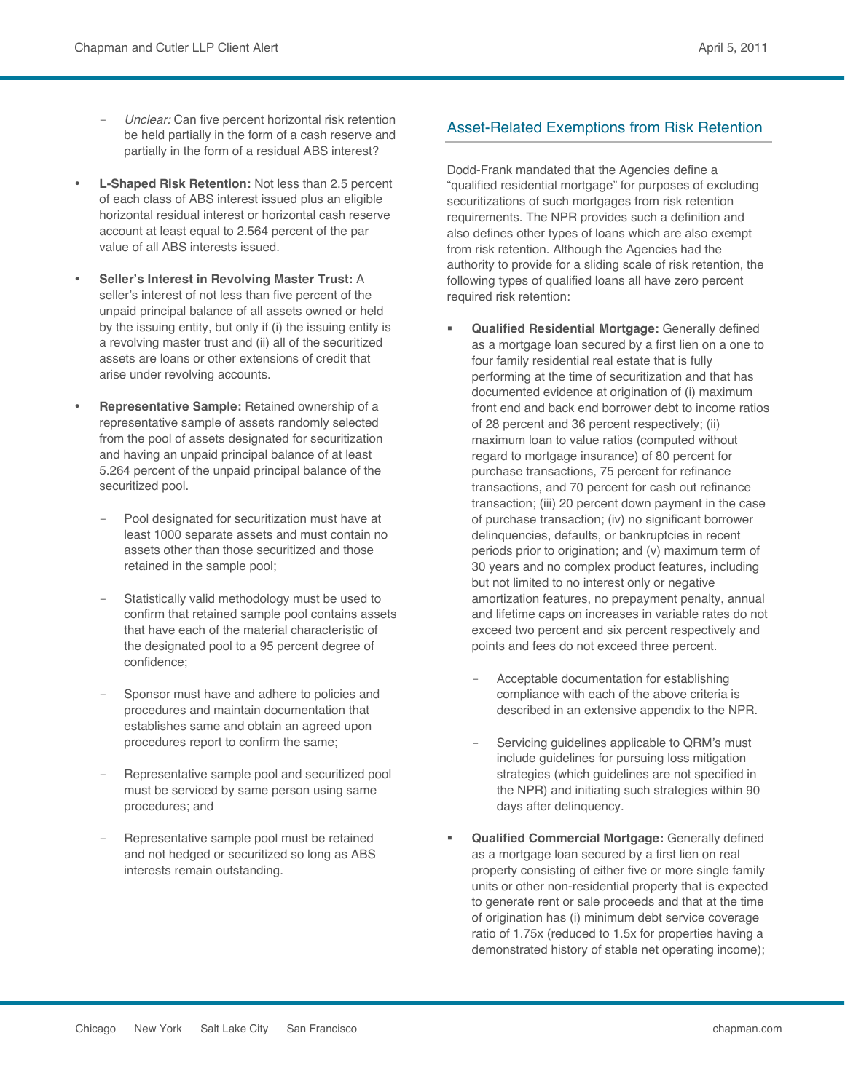- Unclear: Can five percent horizontal risk retention be held partially in the form of a cash reserve and partially in the form of a residual ABS interest?
- **L-Shaped Risk Retention:** Not less than 2.5 percent of each class of ABS interest issued plus an eligible horizontal residual interest or horizontal cash reserve account at least equal to 2.564 percent of the par value of all ABS interests issued.
- **Seller's Interest in Revolving Master Trust:** A seller's interest of not less than five percent of the unpaid principal balance of all assets owned or held by the issuing entity, but only if (i) the issuing entity is a revolving master trust and (ii) all of the securitized assets are loans or other extensions of credit that arise under revolving accounts.
- **Representative Sample:** Retained ownership of a representative sample of assets randomly selected from the pool of assets designated for securitization and having an unpaid principal balance of at least 5.264 percent of the unpaid principal balance of the securitized pool.
	- Pool designated for securitization must have at least 1000 separate assets and must contain no assets other than those securitized and those retained in the sample pool;
	- Statistically valid methodology must be used to confirm that retained sample pool contains assets that have each of the material characteristic of the designated pool to a 95 percent degree of confidence;
	- Sponsor must have and adhere to policies and procedures and maintain documentation that establishes same and obtain an agreed upon procedures report to confirm the same;
	- Representative sample pool and securitized pool must be serviced by same person using same procedures; and
	- Representative sample pool must be retained and not hedged or securitized so long as ABS interests remain outstanding.

## Asset-Related Exemptions from Risk Retention

Dodd-Frank mandated that the Agencies define a "qualified residential mortgage" for purposes of excluding securitizations of such mortgages from risk retention requirements. The NPR provides such a definition and also defines other types of loans which are also exempt from risk retention. Although the Agencies had the authority to provide for a sliding scale of risk retention, the following types of qualified loans all have zero percent required risk retention:

- **Qualified Residential Mortgage:** Generally defined as a mortgage loan secured by a first lien on a one to four family residential real estate that is fully performing at the time of securitization and that has documented evidence at origination of (i) maximum front end and back end borrower debt to income ratios of 28 percent and 36 percent respectively; (ii) maximum loan to value ratios (computed without regard to mortgage insurance) of 80 percent for purchase transactions, 75 percent for refinance transactions, and 70 percent for cash out refinance transaction; (iii) 20 percent down payment in the case of purchase transaction; (iv) no significant borrower delinquencies, defaults, or bankruptcies in recent periods prior to origination; and (v) maximum term of 30 years and no complex product features, including but not limited to no interest only or negative amortization features, no prepayment penalty, annual and lifetime caps on increases in variable rates do not exceed two percent and six percent respectively and points and fees do not exceed three percent.
	- Acceptable documentation for establishing compliance with each of the above criteria is described in an extensive appendix to the NPR.
	- Servicing guidelines applicable to QRM's must include guidelines for pursuing loss mitigation strategies (which guidelines are not specified in the NPR) and initiating such strategies within 90 days after delinquency.
- **Qualified Commercial Mortgage:** Generally defined as a mortgage loan secured by a first lien on real property consisting of either five or more single family units or other non-residential property that is expected to generate rent or sale proceeds and that at the time of origination has (i) minimum debt service coverage ratio of 1.75x (reduced to 1.5x for properties having a demonstrated history of stable net operating income);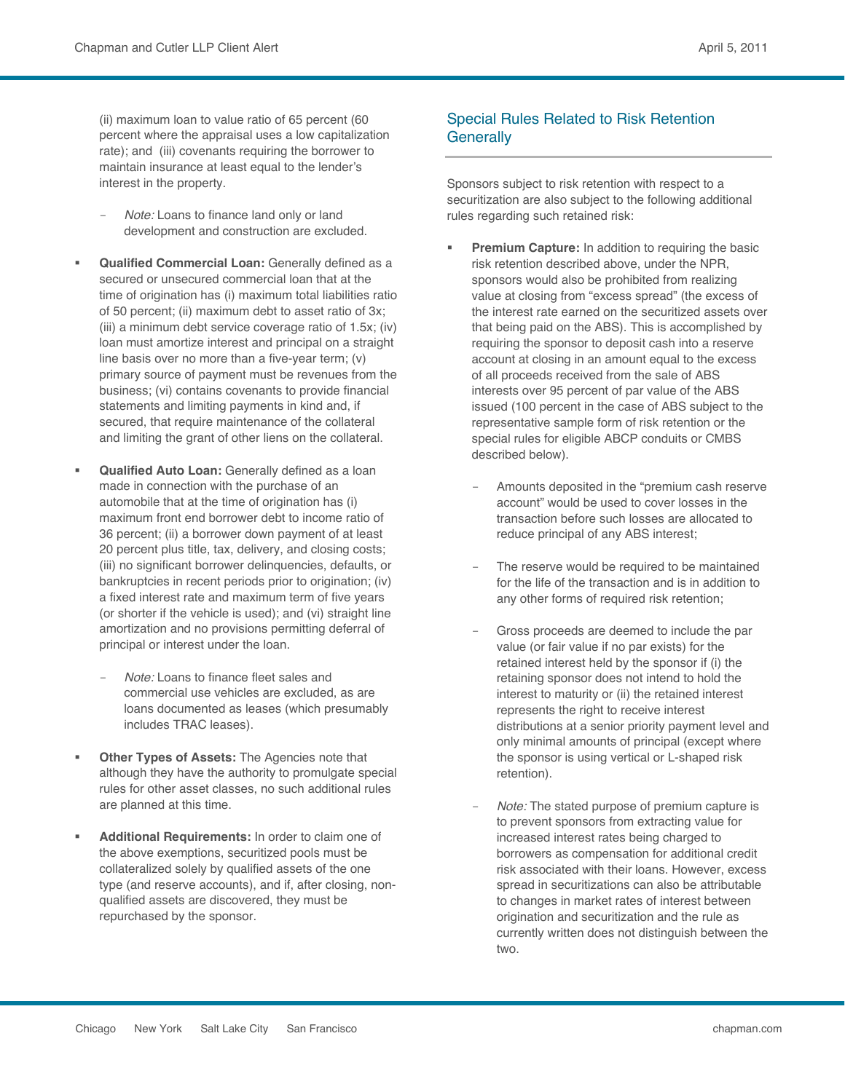(ii) maximum loan to value ratio of 65 percent (60 percent where the appraisal uses a low capitalization rate); and (iii) covenants requiring the borrower to maintain insurance at least equal to the lender's interest in the property.

- *Note:* Loans to finance land only or land development and construction are excluded.
- **Qualified Commercial Loan:** Generally defined as a secured or unsecured commercial loan that at the time of origination has (i) maximum total liabilities ratio of 50 percent; (ii) maximum debt to asset ratio of 3x; (iii) a minimum debt service coverage ratio of 1.5x; (iv) loan must amortize interest and principal on a straight line basis over no more than a five-year term; (v) primary source of payment must be revenues from the business; (vi) contains covenants to provide financial statements and limiting payments in kind and, if secured, that require maintenance of the collateral and limiting the grant of other liens on the collateral.
- **Qualified Auto Loan:** Generally defined as a loan made in connection with the purchase of an automobile that at the time of origination has (i) maximum front end borrower debt to income ratio of 36 percent; (ii) a borrower down payment of at least 20 percent plus title, tax, delivery, and closing costs; (iii) no significant borrower delinquencies, defaults, or bankruptcies in recent periods prior to origination; (iv) a fixed interest rate and maximum term of five years (or shorter if the vehicle is used); and (vi) straight line amortization and no provisions permitting deferral of principal or interest under the loan.
	- *Note:* Loans to finance fleet sales and commercial use vehicles are excluded, as are loans documented as leases (which presumably includes TRAC leases).
- **Other Types of Assets:** The Agencies note that although they have the authority to promulgate special rules for other asset classes, no such additional rules are planned at this time.
- **Additional Requirements:** In order to claim one of the above exemptions, securitized pools must be collateralized solely by qualified assets of the one type (and reserve accounts), and if, after closing, nonqualified assets are discovered, they must be repurchased by the sponsor.

### Special Rules Related to Risk Retention **Generally**

Sponsors subject to risk retention with respect to a securitization are also subject to the following additional rules regarding such retained risk:

- **Premium Capture:** In addition to requiring the basic risk retention described above, under the NPR, sponsors would also be prohibited from realizing value at closing from "excess spread" (the excess of the interest rate earned on the securitized assets over that being paid on the ABS). This is accomplished by requiring the sponsor to deposit cash into a reserve account at closing in an amount equal to the excess of all proceeds received from the sale of ABS interests over 95 percent of par value of the ABS issued (100 percent in the case of ABS subject to the representative sample form of risk retention or the special rules for eligible ABCP conduits or CMBS described below).
	- Amounts deposited in the "premium cash reserve account" would be used to cover losses in the transaction before such losses are allocated to reduce principal of any ABS interest;
	- The reserve would be required to be maintained for the life of the transaction and is in addition to any other forms of required risk retention;
	- Gross proceeds are deemed to include the par value (or fair value if no par exists) for the retained interest held by the sponsor if (i) the retaining sponsor does not intend to hold the interest to maturity or (ii) the retained interest represents the right to receive interest distributions at a senior priority payment level and only minimal amounts of principal (except where the sponsor is using vertical or L-shaped risk retention).
	- *Note:* The stated purpose of premium capture is to prevent sponsors from extracting value for increased interest rates being charged to borrowers as compensation for additional credit risk associated with their loans. However, excess spread in securitizations can also be attributable to changes in market rates of interest between origination and securitization and the rule as currently written does not distinguish between the two.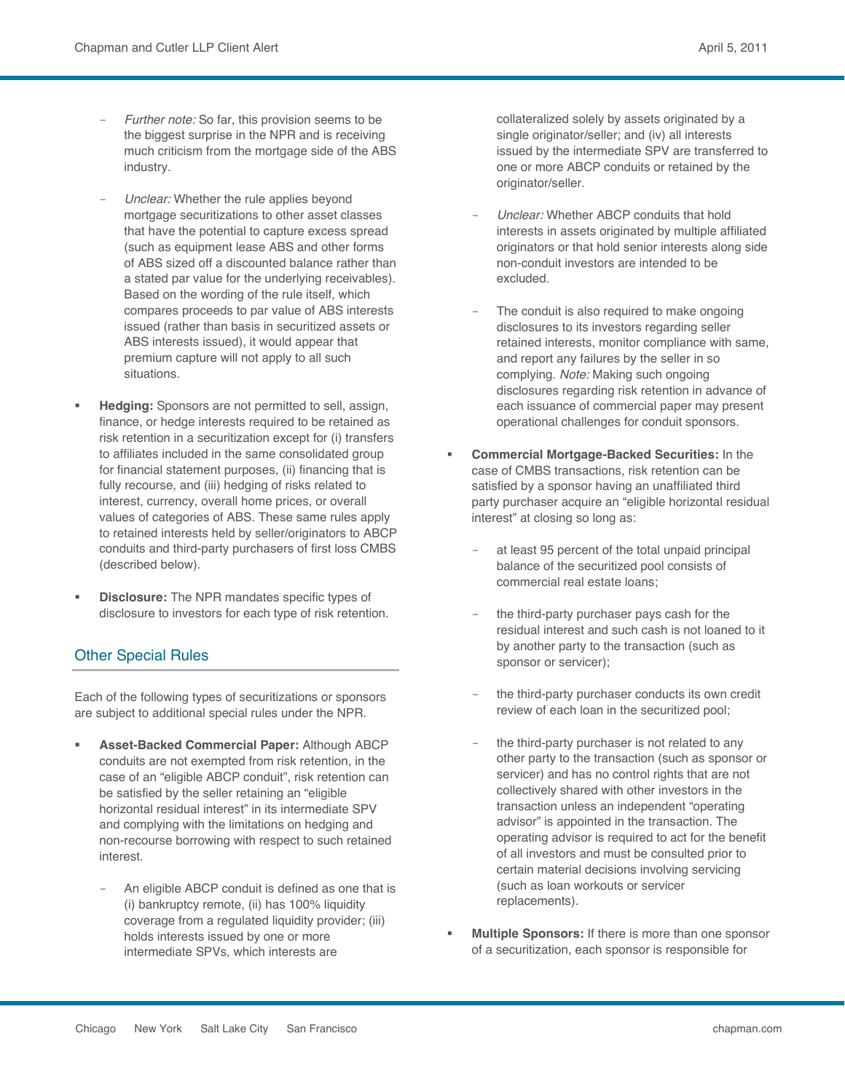- Further note: So far, this provision seems to be the biggest surprise in the NPR and is receiving much criticism from the mortgage side of the ABS industry.
- *Unclear:* Whether the rule applies beyond mortgage securitizations to other asset classes that have the potential to capture excess spread (such as equipment lease ABS and other forms of ABS sized off a discounted balance rather than a stated par value for the underlying receivables). Based on the wording of the rule itself, which compares proceeds to par value of ABS interests issued (rather than basis in securitized assets or ABS interests issued), it would appear that premium capture will not apply to all such situations.
- **Hedging:** Sponsors are not permitted to sell, assign, finance, or hedge interests required to be retained as risk retention in a securitization except for (i) transfers to affiliates included in the same consolidated group for financial statement purposes, (ii) financing that is fully recourse, and (iii) hedging of risks related to interest, currency, overall home prices, or overall values of categories of ABS. These same rules apply to retained interests held by seller/originators to ABCP conduits and third-party purchasers of first loss CMBS (described below).
- **Disclosure:** The NPR mandates specific types of disclosure to investors for each type of risk retention.

#### Other Special Rules

Each of the following types of securitizations or sponsors are subject to additional special rules under the NPR.

- **Asset-Backed Commercial Paper:** Although ABCP conduits are not exempted from risk retention, in the case of an "eligible ABCP conduit", risk retention can be satisfied by the seller retaining an "eligible horizontal residual interest" in its intermediate SPV and complying with the limitations on hedging and non-recourse borrowing with respect to such retained interest.
	- An eligible ABCP conduit is defined as one that is (i) bankruptcy remote, (ii) has 100% liquidity coverage from a regulated liquidity provider; (iii) holds interests issued by one or more intermediate SPVs, which interests are

collateralized solely by assets originated by a single originator/seller; and (iv) all interests issued by the intermediate SPV are transferred to one or more ABCP conduits or retained by the originator/seller.

- *Unclear:* Whether ABCP conduits that hold interests in assets originated by multiple affiliated originators or that hold senior interests along side non-conduit investors are intended to be excluded.
- The conduit is also required to make ongoing disclosures to its investors regarding seller retained interests, monitor compliance with same, and report any failures by the seller in so complying. *Note:* Making such ongoing disclosures regarding risk retention in advance of each issuance of commercial paper may present operational challenges for conduit sponsors.
- **Commercial Mortgage-Backed Securities:** In the case of CMBS transactions, risk retention can be satisfied by a sponsor having an unaffiliated third party purchaser acquire an "eligible horizontal residual interest" at closing so long as:
	- at least 95 percent of the total unpaid principal balance of the securitized pool consists of commercial real estate loans;
	- the third-party purchaser pays cash for the residual interest and such cash is not loaned to it by another party to the transaction (such as sponsor or servicer);
	- the third-party purchaser conducts its own credit review of each loan in the securitized pool;
	- the third-party purchaser is not related to any other party to the transaction (such as sponsor or servicer) and has no control rights that are not collectively shared with other investors in the transaction unless an independent "operating advisor" is appointed in the transaction. The operating advisor is required to act for the benefit of all investors and must be consulted prior to certain material decisions involving servicing (such as loan workouts or servicer replacements).
- **Multiple Sponsors:** If there is more than one sponsor of a securitization, each sponsor is responsible for